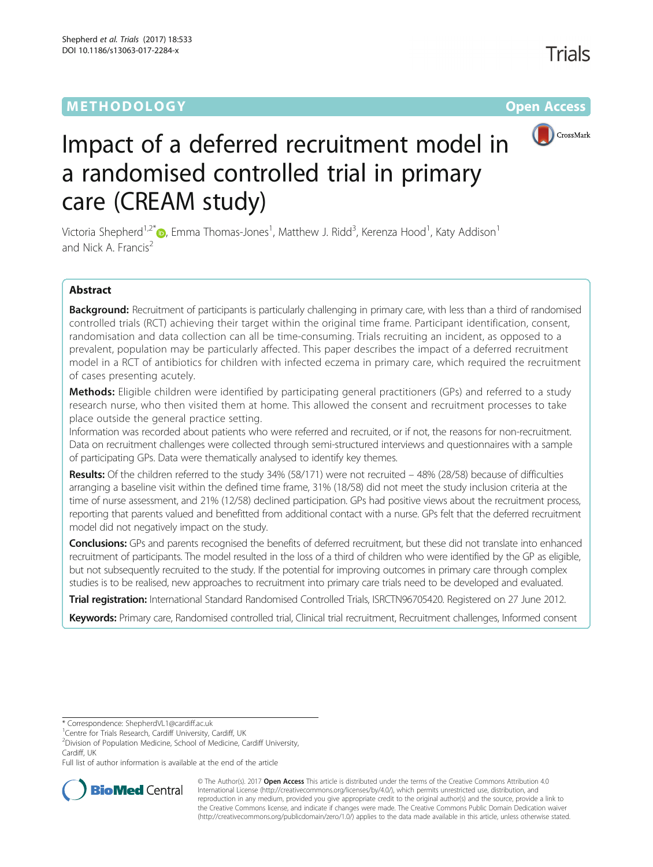# METHODOLOGY CONTROL CONTROL CONTROL CONTROL CONTROL CONTROL CONTROL CONTROL CONTROL CONTROL CONTROL CONTROL CO



# Impact of a deferred recruitment model in a randomised controlled trial in primary care (CREAM study)

Victoria Shepherd $^{1,2^\ast}$  , Emma Thomas-Jones $^1$ , Matthew J. Ridd $^3$ , Kerenza Hood $^1$ , Katy Addison $^1$ and Nick A. Francis<sup>2</sup>

# Abstract

Background: Recruitment of participants is particularly challenging in primary care, with less than a third of randomised controlled trials (RCT) achieving their target within the original time frame. Participant identification, consent, randomisation and data collection can all be time-consuming. Trials recruiting an incident, as opposed to a prevalent, population may be particularly affected. This paper describes the impact of a deferred recruitment model in a RCT of antibiotics for children with infected eczema in primary care, which required the recruitment of cases presenting acutely.

**Methods:** Eligible children were identified by participating general practitioners (GPs) and referred to a study research nurse, who then visited them at home. This allowed the consent and recruitment processes to take place outside the general practice setting.

Information was recorded about patients who were referred and recruited, or if not, the reasons for non-recruitment. Data on recruitment challenges were collected through semi-structured interviews and questionnaires with a sample of participating GPs. Data were thematically analysed to identify key themes.

Results: Of the children referred to the study 34% (58/171) were not recruited  $-$  48% (28/58) because of difficulties arranging a baseline visit within the defined time frame, 31% (18/58) did not meet the study inclusion criteria at the time of nurse assessment, and 21% (12/58) declined participation. GPs had positive views about the recruitment process, reporting that parents valued and benefitted from additional contact with a nurse. GPs felt that the deferred recruitment model did not negatively impact on the study.

Conclusions: GPs and parents recognised the benefits of deferred recruitment, but these did not translate into enhanced recruitment of participants. The model resulted in the loss of a third of children who were identified by the GP as eligible, but not subsequently recruited to the study. If the potential for improving outcomes in primary care through complex studies is to be realised, new approaches to recruitment into primary care trials need to be developed and evaluated.

Trial registration: International Standard Randomised Controlled Trials, [ISRCTN96705420.](http://www.isrctn.com/ISRCTN96705420) Registered on 27 June 2012.

Keywords: Primary care, Randomised controlled trial, Clinical trial recruitment, Recruitment challenges, Informed consent

\* Correspondence: [ShepherdVL1@cardiff.ac.uk](mailto:ShepherdVL1@cardiff.ac.uk) <sup>1</sup>

<sup>1</sup> Centre for Trials Research, Cardiff University, Cardiff, UK

<sup>2</sup> Division of Population Medicine, School of Medicine, Cardiff University, Cardiff, UK

Full list of author information is available at the end of the article



© The Author(s). 2017 **Open Access** This article is distributed under the terms of the Creative Commons Attribution 4.0 International License [\(http://creativecommons.org/licenses/by/4.0/](http://creativecommons.org/licenses/by/4.0/)), which permits unrestricted use, distribution, and reproduction in any medium, provided you give appropriate credit to the original author(s) and the source, provide a link to the Creative Commons license, and indicate if changes were made. The Creative Commons Public Domain Dedication waiver [\(http://creativecommons.org/publicdomain/zero/1.0/](http://creativecommons.org/publicdomain/zero/1.0/)) applies to the data made available in this article, unless otherwise stated.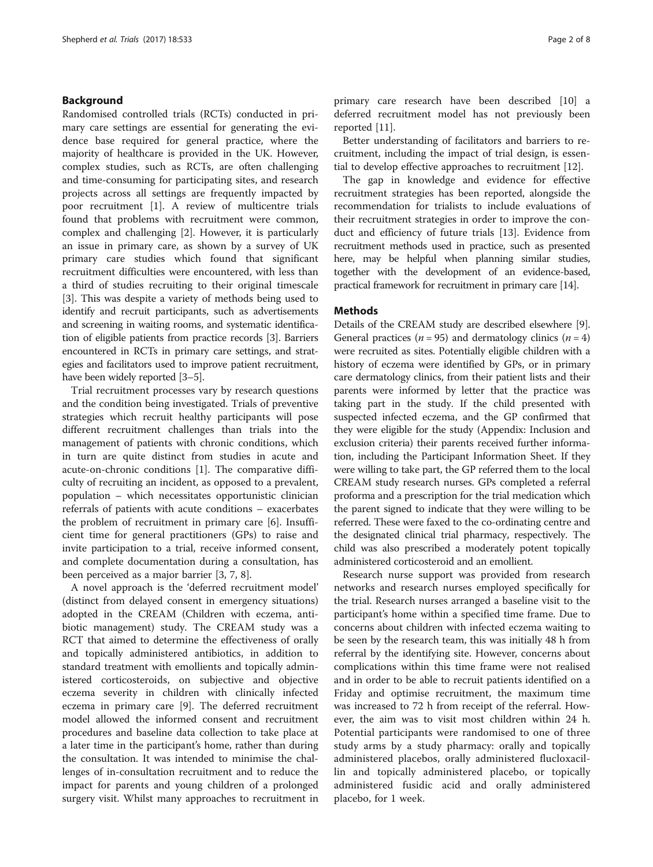### Background

Randomised controlled trials (RCTs) conducted in primary care settings are essential for generating the evidence base required for general practice, where the majority of healthcare is provided in the UK. However, complex studies, such as RCTs, are often challenging and time-consuming for participating sites, and research projects across all settings are frequently impacted by poor recruitment [\[1\]](#page-7-0). A review of multicentre trials found that problems with recruitment were common, complex and challenging [[2\]](#page-7-0). However, it is particularly an issue in primary care, as shown by a survey of UK primary care studies which found that significant recruitment difficulties were encountered, with less than a third of studies recruiting to their original timescale [[3\]](#page-7-0). This was despite a variety of methods being used to identify and recruit participants, such as advertisements and screening in waiting rooms, and systematic identification of eligible patients from practice records [\[3\]](#page-7-0). Barriers encountered in RCTs in primary care settings, and strategies and facilitators used to improve patient recruitment, have been widely reported [\[3](#page-7-0)–[5](#page-7-0)].

Trial recruitment processes vary by research questions and the condition being investigated. Trials of preventive strategies which recruit healthy participants will pose different recruitment challenges than trials into the management of patients with chronic conditions, which in turn are quite distinct from studies in acute and acute-on-chronic conditions [\[1](#page-7-0)]. The comparative difficulty of recruiting an incident, as opposed to a prevalent, population – which necessitates opportunistic clinician referrals of patients with acute conditions – exacerbates the problem of recruitment in primary care [[6\]](#page-7-0). Insufficient time for general practitioners (GPs) to raise and invite participation to a trial, receive informed consent, and complete documentation during a consultation, has been perceived as a major barrier [[3](#page-7-0), [7, 8\]](#page-7-0).

A novel approach is the 'deferred recruitment model' (distinct from delayed consent in emergency situations) adopted in the CREAM (Children with eczema, antibiotic management) study. The CREAM study was a RCT that aimed to determine the effectiveness of orally and topically administered antibiotics, in addition to standard treatment with emollients and topically administered corticosteroids, on subjective and objective eczema severity in children with clinically infected eczema in primary care [[9\]](#page-7-0). The deferred recruitment model allowed the informed consent and recruitment procedures and baseline data collection to take place at a later time in the participant's home, rather than during the consultation. It was intended to minimise the challenges of in-consultation recruitment and to reduce the impact for parents and young children of a prolonged surgery visit. Whilst many approaches to recruitment in primary care research have been described [[10](#page-7-0)] a deferred recruitment model has not previously been reported [[11\]](#page-7-0).

Better understanding of facilitators and barriers to recruitment, including the impact of trial design, is essential to develop effective approaches to recruitment [\[12](#page-7-0)].

The gap in knowledge and evidence for effective recruitment strategies has been reported, alongside the recommendation for trialists to include evaluations of their recruitment strategies in order to improve the conduct and efficiency of future trials [[13](#page-7-0)]. Evidence from recruitment methods used in practice, such as presented here, may be helpful when planning similar studies, together with the development of an evidence-based, practical framework for recruitment in primary care [[14](#page-7-0)].

#### Methods

Details of the CREAM study are described elsewhere [[9](#page-7-0)]. General practices ( $n = 95$ ) and dermatology clinics ( $n = 4$ ) were recruited as sites. Potentially eligible children with a history of eczema were identified by GPs, or in primary care dermatology clinics, from their patient lists and their parents were informed by letter that the practice was taking part in the study. If the child presented with suspected infected eczema, and the GP confirmed that they were eligible for the study (Appendix: Inclusion and exclusion criteria) their parents received further information, including the Participant Information Sheet. If they were willing to take part, the GP referred them to the local CREAM study research nurses. GPs completed a referral proforma and a prescription for the trial medication which the parent signed to indicate that they were willing to be referred. These were faxed to the co-ordinating centre and the designated clinical trial pharmacy, respectively. The child was also prescribed a moderately potent topically administered corticosteroid and an emollient.

Research nurse support was provided from research networks and research nurses employed specifically for the trial. Research nurses arranged a baseline visit to the participant's home within a specified time frame. Due to concerns about children with infected eczema waiting to be seen by the research team, this was initially 48 h from referral by the identifying site. However, concerns about complications within this time frame were not realised and in order to be able to recruit patients identified on a Friday and optimise recruitment, the maximum time was increased to 72 h from receipt of the referral. However, the aim was to visit most children within 24 h. Potential participants were randomised to one of three study arms by a study pharmacy: orally and topically administered placebos, orally administered flucloxacillin and topically administered placebo, or topically administered fusidic acid and orally administered placebo, for 1 week.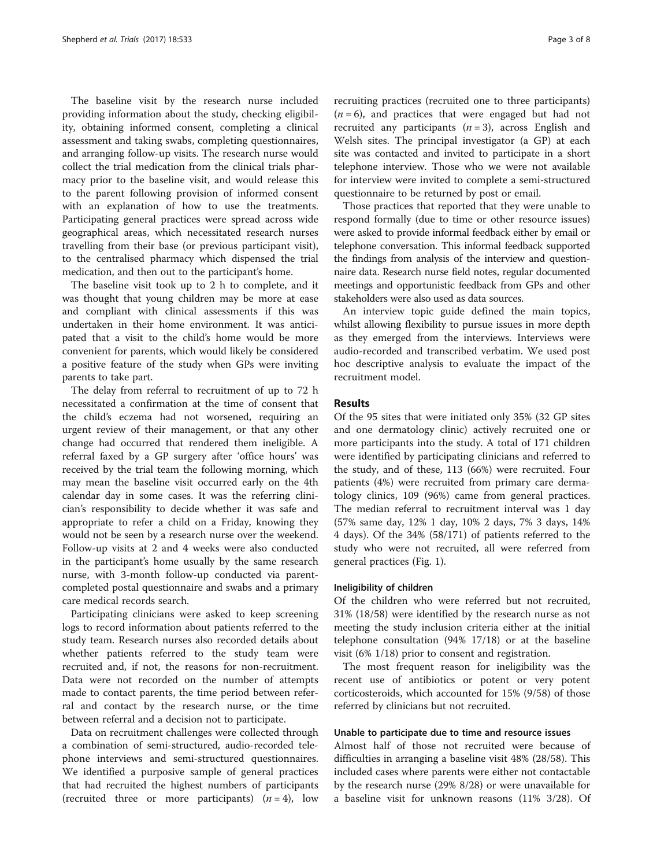The baseline visit by the research nurse included providing information about the study, checking eligibility, obtaining informed consent, completing a clinical assessment and taking swabs, completing questionnaires, and arranging follow-up visits. The research nurse would collect the trial medication from the clinical trials pharmacy prior to the baseline visit, and would release this to the parent following provision of informed consent with an explanation of how to use the treatments. Participating general practices were spread across wide geographical areas, which necessitated research nurses travelling from their base (or previous participant visit), to the centralised pharmacy which dispensed the trial medication, and then out to the participant's home.

The baseline visit took up to 2 h to complete, and it was thought that young children may be more at ease and compliant with clinical assessments if this was undertaken in their home environment. It was anticipated that a visit to the child's home would be more convenient for parents, which would likely be considered a positive feature of the study when GPs were inviting parents to take part.

The delay from referral to recruitment of up to 72 h necessitated a confirmation at the time of consent that the child's eczema had not worsened, requiring an urgent review of their management, or that any other change had occurred that rendered them ineligible. A referral faxed by a GP surgery after 'office hours' was received by the trial team the following morning, which may mean the baseline visit occurred early on the 4th calendar day in some cases. It was the referring clinician's responsibility to decide whether it was safe and appropriate to refer a child on a Friday, knowing they would not be seen by a research nurse over the weekend. Follow-up visits at 2 and 4 weeks were also conducted in the participant's home usually by the same research nurse, with 3-month follow-up conducted via parentcompleted postal questionnaire and swabs and a primary care medical records search.

Participating clinicians were asked to keep screening logs to record information about patients referred to the study team. Research nurses also recorded details about whether patients referred to the study team were recruited and, if not, the reasons for non-recruitment. Data were not recorded on the number of attempts made to contact parents, the time period between referral and contact by the research nurse, or the time between referral and a decision not to participate.

Data on recruitment challenges were collected through a combination of semi-structured, audio-recorded telephone interviews and semi-structured questionnaires. We identified a purposive sample of general practices that had recruited the highest numbers of participants (recruited three or more participants)  $(n = 4)$ , low

recruiting practices (recruited one to three participants)  $(n = 6)$ , and practices that were engaged but had not recruited any participants  $(n = 3)$ , across English and Welsh sites. The principal investigator (a GP) at each site was contacted and invited to participate in a short telephone interview. Those who we were not available for interview were invited to complete a semi-structured questionnaire to be returned by post or email.

Those practices that reported that they were unable to respond formally (due to time or other resource issues) were asked to provide informal feedback either by email or telephone conversation. This informal feedback supported the findings from analysis of the interview and questionnaire data. Research nurse field notes, regular documented meetings and opportunistic feedback from GPs and other stakeholders were also used as data sources.

An interview topic guide defined the main topics, whilst allowing flexibility to pursue issues in more depth as they emerged from the interviews. Interviews were audio-recorded and transcribed verbatim. We used post hoc descriptive analysis to evaluate the impact of the recruitment model.

#### Results

Of the 95 sites that were initiated only 35% (32 GP sites and one dermatology clinic) actively recruited one or more participants into the study. A total of 171 children were identified by participating clinicians and referred to the study, and of these, 113 (66%) were recruited. Four patients (4%) were recruited from primary care dermatology clinics, 109 (96%) came from general practices. The median referral to recruitment interval was 1 day (57% same day, 12% 1 day, 10% 2 days, 7% 3 days, 14% 4 days). Of the 34% (58/171) of patients referred to the study who were not recruited, all were referred from general practices (Fig. [1\)](#page-3-0).

#### Ineligibility of children

Of the children who were referred but not recruited, 31% (18/58) were identified by the research nurse as not meeting the study inclusion criteria either at the initial telephone consultation (94% 17/18) or at the baseline visit (6% 1/18) prior to consent and registration.

The most frequent reason for ineligibility was the recent use of antibiotics or potent or very potent corticosteroids, which accounted for 15% (9/58) of those referred by clinicians but not recruited.

#### Unable to participate due to time and resource issues

Almost half of those not recruited were because of difficulties in arranging a baseline visit 48% (28/58). This included cases where parents were either not contactable by the research nurse (29% 8/28) or were unavailable for a baseline visit for unknown reasons (11% 3/28). Of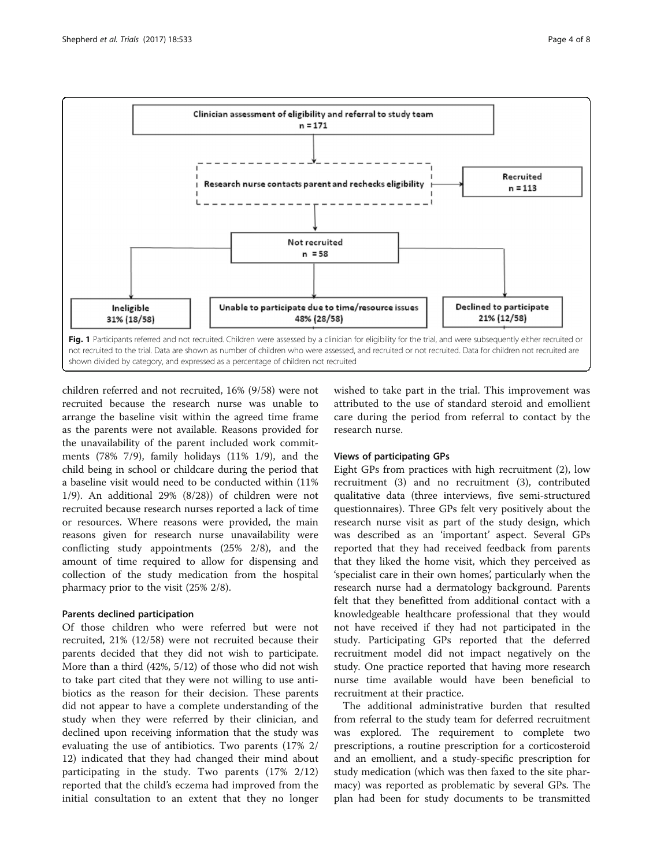<span id="page-3-0"></span>

children referred and not recruited, 16% (9/58) were not recruited because the research nurse was unable to arrange the baseline visit within the agreed time frame as the parents were not available. Reasons provided for the unavailability of the parent included work commitments (78% 7/9), family holidays (11% 1/9), and the child being in school or childcare during the period that a baseline visit would need to be conducted within (11% 1/9). An additional 29% (8/28)) of children were not recruited because research nurses reported a lack of time or resources. Where reasons were provided, the main reasons given for research nurse unavailability were conflicting study appointments (25% 2/8), and the amount of time required to allow for dispensing and collection of the study medication from the hospital pharmacy prior to the visit (25% 2/8).

#### Parents declined participation

Of those children who were referred but were not recruited, 21% (12/58) were not recruited because their parents decided that they did not wish to participate. More than a third (42%, 5/12) of those who did not wish to take part cited that they were not willing to use antibiotics as the reason for their decision. These parents did not appear to have a complete understanding of the study when they were referred by their clinician, and declined upon receiving information that the study was evaluating the use of antibiotics. Two parents (17% 2/ 12) indicated that they had changed their mind about participating in the study. Two parents (17% 2/12) reported that the child's eczema had improved from the initial consultation to an extent that they no longer

wished to take part in the trial. This improvement was attributed to the use of standard steroid and emollient care during the period from referral to contact by the research nurse.

#### Views of participating GPs

Eight GPs from practices with high recruitment (2), low recruitment (3) and no recruitment (3), contributed qualitative data (three interviews, five semi-structured questionnaires). Three GPs felt very positively about the research nurse visit as part of the study design, which was described as an 'important' aspect. Several GPs reported that they had received feedback from parents that they liked the home visit, which they perceived as 'specialist care in their own homes', particularly when the research nurse had a dermatology background. Parents felt that they benefitted from additional contact with a knowledgeable healthcare professional that they would not have received if they had not participated in the study. Participating GPs reported that the deferred recruitment model did not impact negatively on the study. One practice reported that having more research nurse time available would have been beneficial to recruitment at their practice.

The additional administrative burden that resulted from referral to the study team for deferred recruitment was explored. The requirement to complete two prescriptions, a routine prescription for a corticosteroid and an emollient, and a study-specific prescription for study medication (which was then faxed to the site pharmacy) was reported as problematic by several GPs. The plan had been for study documents to be transmitted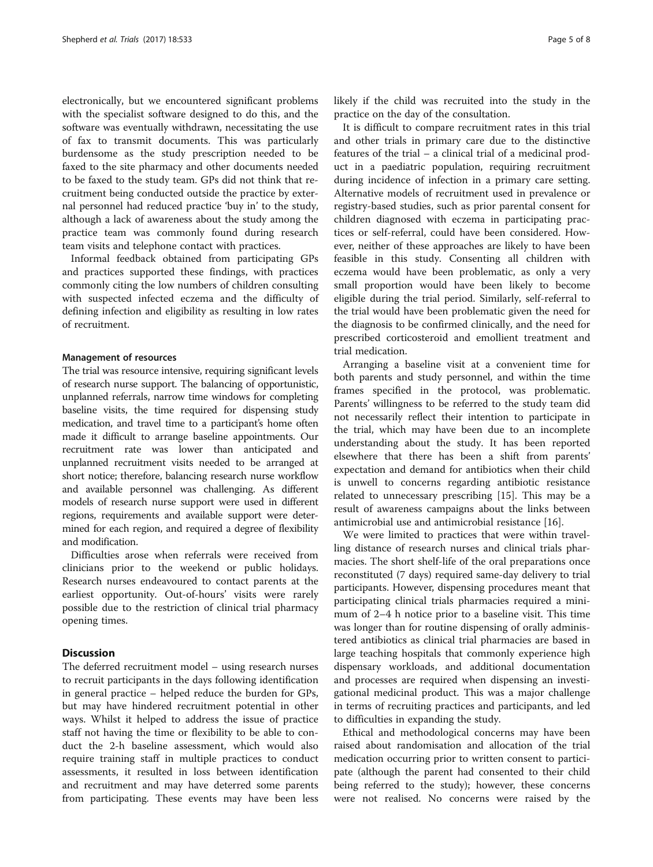electronically, but we encountered significant problems with the specialist software designed to do this, and the software was eventually withdrawn, necessitating the use of fax to transmit documents. This was particularly burdensome as the study prescription needed to be faxed to the site pharmacy and other documents needed to be faxed to the study team. GPs did not think that recruitment being conducted outside the practice by external personnel had reduced practice 'buy in' to the study, although a lack of awareness about the study among the practice team was commonly found during research team visits and telephone contact with practices.

Informal feedback obtained from participating GPs and practices supported these findings, with practices commonly citing the low numbers of children consulting with suspected infected eczema and the difficulty of defining infection and eligibility as resulting in low rates of recruitment.

#### Management of resources

The trial was resource intensive, requiring significant levels of research nurse support. The balancing of opportunistic, unplanned referrals, narrow time windows for completing baseline visits, the time required for dispensing study medication, and travel time to a participant's home often made it difficult to arrange baseline appointments. Our recruitment rate was lower than anticipated and unplanned recruitment visits needed to be arranged at short notice; therefore, balancing research nurse workflow and available personnel was challenging. As different models of research nurse support were used in different regions, requirements and available support were determined for each region, and required a degree of flexibility and modification.

Difficulties arose when referrals were received from clinicians prior to the weekend or public holidays. Research nurses endeavoured to contact parents at the earliest opportunity. Out-of-hours' visits were rarely possible due to the restriction of clinical trial pharmacy opening times.

## **Discussion**

The deferred recruitment model – using research nurses to recruit participants in the days following identification in general practice – helped reduce the burden for GPs, but may have hindered recruitment potential in other ways. Whilst it helped to address the issue of practice staff not having the time or flexibility to be able to conduct the 2-h baseline assessment, which would also require training staff in multiple practices to conduct assessments, it resulted in loss between identification and recruitment and may have deterred some parents from participating. These events may have been less likely if the child was recruited into the study in the practice on the day of the consultation.

It is difficult to compare recruitment rates in this trial and other trials in primary care due to the distinctive features of the trial – a clinical trial of a medicinal product in a paediatric population, requiring recruitment during incidence of infection in a primary care setting. Alternative models of recruitment used in prevalence or registry-based studies, such as prior parental consent for children diagnosed with eczema in participating practices or self-referral, could have been considered. However, neither of these approaches are likely to have been feasible in this study. Consenting all children with eczema would have been problematic, as only a very small proportion would have been likely to become eligible during the trial period. Similarly, self-referral to the trial would have been problematic given the need for the diagnosis to be confirmed clinically, and the need for prescribed corticosteroid and emollient treatment and trial medication.

Arranging a baseline visit at a convenient time for both parents and study personnel, and within the time frames specified in the protocol, was problematic. Parents' willingness to be referred to the study team did not necessarily reflect their intention to participate in the trial, which may have been due to an incomplete understanding about the study. It has been reported elsewhere that there has been a shift from parents' expectation and demand for antibiotics when their child is unwell to concerns regarding antibiotic resistance related to unnecessary prescribing [[15\]](#page-7-0). This may be a result of awareness campaigns about the links between antimicrobial use and antimicrobial resistance [\[16](#page-7-0)].

We were limited to practices that were within travelling distance of research nurses and clinical trials pharmacies. The short shelf-life of the oral preparations once reconstituted (7 days) required same-day delivery to trial participants. However, dispensing procedures meant that participating clinical trials pharmacies required a minimum of 2–4 h notice prior to a baseline visit. This time was longer than for routine dispensing of orally administered antibiotics as clinical trial pharmacies are based in large teaching hospitals that commonly experience high dispensary workloads, and additional documentation and processes are required when dispensing an investigational medicinal product. This was a major challenge in terms of recruiting practices and participants, and led to difficulties in expanding the study.

Ethical and methodological concerns may have been raised about randomisation and allocation of the trial medication occurring prior to written consent to participate (although the parent had consented to their child being referred to the study); however, these concerns were not realised. No concerns were raised by the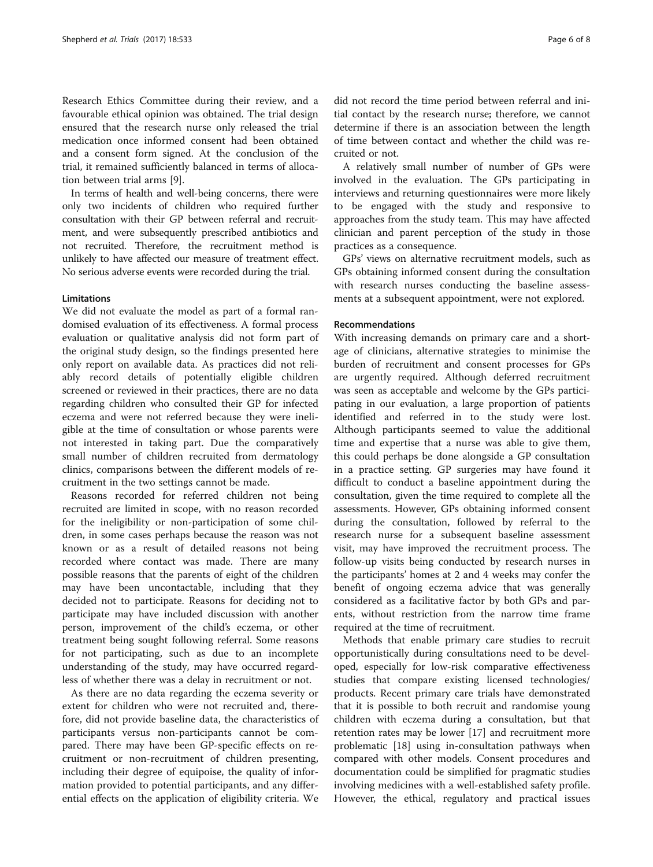Research Ethics Committee during their review, and a favourable ethical opinion was obtained. The trial design ensured that the research nurse only released the trial medication once informed consent had been obtained and a consent form signed. At the conclusion of the trial, it remained sufficiently balanced in terms of allocation between trial arms [\[9\]](#page-7-0).

In terms of health and well-being concerns, there were only two incidents of children who required further consultation with their GP between referral and recruitment, and were subsequently prescribed antibiotics and not recruited. Therefore, the recruitment method is unlikely to have affected our measure of treatment effect. No serious adverse events were recorded during the trial.

#### **Limitations**

We did not evaluate the model as part of a formal randomised evaluation of its effectiveness. A formal process evaluation or qualitative analysis did not form part of the original study design, so the findings presented here only report on available data. As practices did not reliably record details of potentially eligible children screened or reviewed in their practices, there are no data regarding children who consulted their GP for infected eczema and were not referred because they were ineligible at the time of consultation or whose parents were not interested in taking part. Due the comparatively small number of children recruited from dermatology clinics, comparisons between the different models of recruitment in the two settings cannot be made.

Reasons recorded for referred children not being recruited are limited in scope, with no reason recorded for the ineligibility or non-participation of some children, in some cases perhaps because the reason was not known or as a result of detailed reasons not being recorded where contact was made. There are many possible reasons that the parents of eight of the children may have been uncontactable, including that they decided not to participate. Reasons for deciding not to participate may have included discussion with another person, improvement of the child's eczema, or other treatment being sought following referral. Some reasons for not participating, such as due to an incomplete understanding of the study, may have occurred regardless of whether there was a delay in recruitment or not.

As there are no data regarding the eczema severity or extent for children who were not recruited and, therefore, did not provide baseline data, the characteristics of participants versus non-participants cannot be compared. There may have been GP-specific effects on recruitment or non-recruitment of children presenting, including their degree of equipoise, the quality of information provided to potential participants, and any differential effects on the application of eligibility criteria. We did not record the time period between referral and initial contact by the research nurse; therefore, we cannot determine if there is an association between the length of time between contact and whether the child was recruited or not.

A relatively small number of number of GPs were involved in the evaluation. The GPs participating in interviews and returning questionnaires were more likely to be engaged with the study and responsive to approaches from the study team. This may have affected clinician and parent perception of the study in those practices as a consequence.

GPs' views on alternative recruitment models, such as GPs obtaining informed consent during the consultation with research nurses conducting the baseline assessments at a subsequent appointment, were not explored.

#### Recommendations

With increasing demands on primary care and a shortage of clinicians, alternative strategies to minimise the burden of recruitment and consent processes for GPs are urgently required. Although deferred recruitment was seen as acceptable and welcome by the GPs participating in our evaluation, a large proportion of patients identified and referred in to the study were lost. Although participants seemed to value the additional time and expertise that a nurse was able to give them, this could perhaps be done alongside a GP consultation in a practice setting. GP surgeries may have found it difficult to conduct a baseline appointment during the consultation, given the time required to complete all the assessments. However, GPs obtaining informed consent during the consultation, followed by referral to the research nurse for a subsequent baseline assessment visit, may have improved the recruitment process. The follow-up visits being conducted by research nurses in the participants' homes at 2 and 4 weeks may confer the benefit of ongoing eczema advice that was generally considered as a facilitative factor by both GPs and parents, without restriction from the narrow time frame required at the time of recruitment.

Methods that enable primary care studies to recruit opportunistically during consultations need to be developed, especially for low-risk comparative effectiveness studies that compare existing licensed technologies/ products. Recent primary care trials have demonstrated that it is possible to both recruit and randomise young children with eczema during a consultation, but that retention rates may be lower [[17](#page-7-0)] and recruitment more problematic [[18\]](#page-7-0) using in-consultation pathways when compared with other models. Consent procedures and documentation could be simplified for pragmatic studies involving medicines with a well-established safety profile. However, the ethical, regulatory and practical issues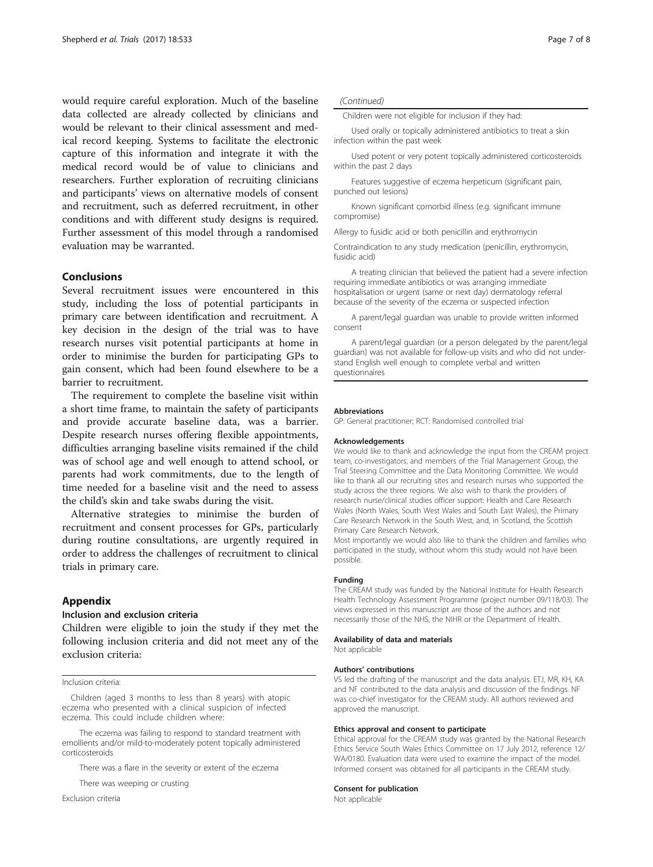would require careful exploration. Much of the baseline data collected are already collected by clinicians and would be relevant to their clinical assessment and medical record keeping. Systems to facilitate the electronic capture of this information and integrate it with the medical record would be of value to clinicians and researchers. Further exploration of recruiting clinicians and participants' views on alternative models of consent and recruitment, such as deferred recruitment, in other conditions and with different study designs is required. Further assessment of this model through a randomised evaluation may be warranted.

#### Conclusions

Several recruitment issues were encountered in this study, including the loss of potential participants in primary care between identification and recruitment. A key decision in the design of the trial was to have research nurses visit potential participants at home in order to minimise the burden for participating GPs to gain consent, which had been found elsewhere to be a barrier to recruitment.

The requirement to complete the baseline visit within a short time frame, to maintain the safety of participants and provide accurate baseline data, was a barrier. Despite research nurses offering flexible appointments, difficulties arranging baseline visits remained if the child was of school age and well enough to attend school, or parents had work commitments, due to the length of time needed for a baseline visit and the need to assess the child's skin and take swabs during the visit.

Alternative strategies to minimise the burden of recruitment and consent processes for GPs, particularly during routine consultations, are urgently required in order to address the challenges of recruitment to clinical trials in primary care.

### Appendix

#### Inclusion and exclusion criteria

Children were eligible to join the study if they met the following inclusion criteria and did not meet any of the exclusion criteria:

#### Inclusion criteria:

Children (aged 3 months to less than 8 years) with atopic eczema who presented with a clinical suspicion of infected eczema. This could include children where:

The eczema was failing to respond to standard treatment with emollients and/or mild-to-moderately potent topically administered corticosteroids

There was a flare in the severity or extent of the eczema

There was weeping or crusting

Exclusion criteria

#### (Continued)

Children were not eligible for inclusion if they had:

Used orally or topically administered antibiotics to treat a skin infection within the past week

Used potent or very potent topically administered corticosteroids within the past 2 days

Features suggestive of eczema herpeticum (significant pain, punched out lesions)

Known significant comorbid illness (e.g. significant immune compromise)

Allergy to fusidic acid or both penicillin and erythromycin

Contraindication to any study medication (penicillin, erythromycin, fusidic acid)

A treating clinician that believed the patient had a severe infection requiring immediate antibiotics or was arranging immediate hospitalisation or urgent (same or next day) dermatology referral because of the severity of the eczema or suspected infection

A parent/legal guardian was unable to provide written informed consent

A parent/legal guardian (or a person delegated by the parent/legal guardian) was not available for follow-up visits and who did not understand English well enough to complete verbal and written questionnaires

#### Abbreviations

GP: General practitioner; RCT: Randomised controlled trial

#### Acknowledgements

We would like to thank and acknowledge the input from the CREAM project team, co-investigators, and members of the Trial Management Group, the Trial Steering Committee and the Data Monitoring Committee. We would like to thank all our recruiting sites and research nurses who supported the study across the three regions. We also wish to thank the providers of research nurse/clinical studies officer support: Health and Care Research Wales (North Wales, South West Wales and South East Wales), the Primary Care Research Network in the South West, and, in Scotland, the Scottish Primary Care Research Network.

Most importantly we would also like to thank the children and families who participated in the study, without whom this study would not have been possible.

#### Funding

The CREAM study was funded by the National Institute for Health Research Health Technology Assessment Programme (project number 09/118/03). The views expressed in this manuscript are those of the authors and not necessarily those of the NHS, the NIHR or the Department of Health.

#### Availability of data and materials

Not applicable

#### Authors' contributions

VS led the drafting of the manuscript and the data analysis. ETJ, MR, KH, KA and NF contributed to the data analysis and discussion of the findings. NF was co-chief investigator for the CREAM study. All authors reviewed and approved the manuscript.

#### Ethics approval and consent to participate

Ethical approval for the CREAM study was granted by the National Research Ethics Service South Wales Ethics Committee on 17 July 2012, reference 12/ WA/0180. Evaluation data were used to examine the impact of the model. Informed consent was obtained for all participants in the CREAM study.

#### Consent for publication

Not applicable